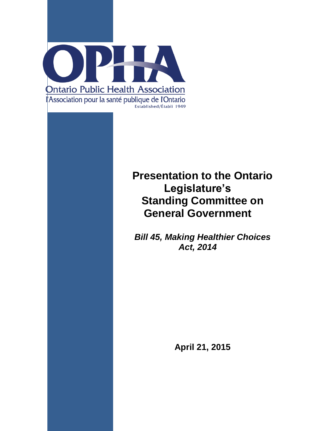

# **Presentation to the Ontario Legislature's Standing Committee on General Government**

*Bill 45, Making Healthier Choices Act, 2014*

**April 21, 2015**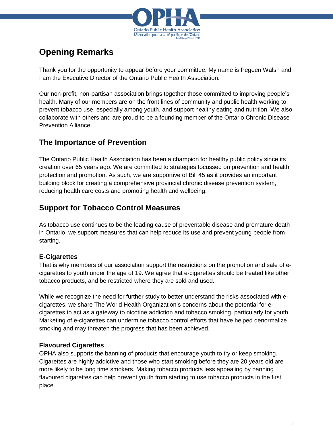

## **Opening Remarks**

Thank you for the opportunity to appear before your committee. My name is Pegeen Walsh and I am the Executive Director of the Ontario Public Health Association.

Our non-profit, non-partisan association brings together those committed to improving people's health. Many of our members are on the front lines of community and public health working to prevent tobacco use, especially among youth, and support healthy eating and nutrition. We also collaborate with others and are proud to be a founding member of the Ontario Chronic Disease Prevention Alliance.

#### **The Importance of Prevention**

The Ontario Public Health Association has been a champion for healthy public policy since its creation over 65 years ago. We are committed to strategies focussed on prevention and health protection and promotion. As such, we are supportive of Bill 45 as it provides an important building block for creating a comprehensive provincial chronic disease prevention system, reducing health care costs and promoting health and wellbeing.

### **Support for Tobacco Control Measures**

As tobacco use continues to be the leading cause of preventable disease and premature death in Ontario, we support measures that can help reduce its use and prevent young people from starting.

#### **E-Cigarettes**

That is why members of our association support the restrictions on the promotion and sale of ecigarettes to youth under the age of 19. We agree that e-cigarettes should be treated like other tobacco products, and be restricted where they are sold and used.

While we recognize the need for further study to better understand the risks associated with ecigarettes, we share The World Health Organization's concerns about the potential for ecigarettes to act as a gateway to nicotine addiction and tobacco smoking, particularly for youth. Marketing of e-cigarettes can undermine tobacco control efforts that have helped denormalize smoking and may threaten the progress that has been achieved.

#### **Flavoured Cigarettes**

OPHA also supports the banning of products that encourage youth to try or keep smoking. Cigarettes are highly addictive and those who start smoking before they are 20 years old are more likely to be long time smokers. Making tobacco products less appealing by banning flavoured cigarettes can help prevent youth from starting to use tobacco products in the first place.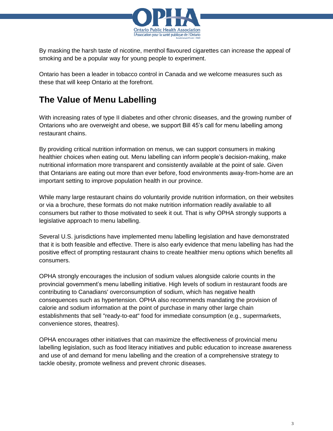

By masking the harsh taste of nicotine, menthol flavoured cigarettes can increase the appeal of smoking and be a popular way for young people to experiment.

Ontario has been a leader in tobacco control in Canada and we welcome measures such as these that will keep Ontario at the forefront.

## **The Value of Menu Labelling**

With increasing rates of type II diabetes and other chronic diseases, and the growing number of Ontarions who are overweight and obese, we support Bill 45's call for menu labelling among restaurant chains.

By providing critical nutrition information on menus, we can support consumers in making healthier choices when eating out. Menu labelling can inform people's decision-making, make nutritional information more transparent and consistently available at the point of sale. Given that Ontarians are eating out more than ever before, food environments away-from-home are an important setting to improve population health in our province.

While many large restaurant chains do voluntarily provide nutrition information, on their websites or via a brochure, these formats do not make nutrition information readily available to all consumers but rather to those motivated to seek it out. That is why OPHA strongly supports a legislative approach to menu labelling.

Several U.S. jurisdictions have implemented menu labelling legislation and have demonstrated that it is both feasible and effective. There is also early evidence that menu labelling has had the positive effect of prompting restaurant chains to create healthier menu options which benefits all consumers.

OPHA strongly encourages the inclusion of sodium values alongside calorie counts in the provincial government's menu labelling initiative. High levels of sodium in restaurant foods are contributing to Canadians' overconsumption of sodium, which has negative health consequences such as hypertension. OPHA also recommends mandating the provision of calorie and sodium information at the point of purchase in many other large chain establishments that sell "ready-to-eat" food for immediate consumption (e.g., supermarkets, convenience stores, theatres).

OPHA encourages other initiatives that can maximize the effectiveness of provincial menu labelling legislation, such as food literacy initiatives and public education to increase awareness and use of and demand for menu labelling and the creation of a comprehensive strategy to tackle obesity, promote wellness and prevent chronic diseases.